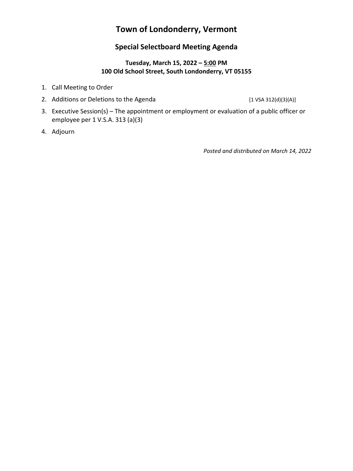# **Town of Londonderry, Vermont**

# **Special Selectboard Meeting Agenda**

#### **Tuesday, March 15, 2022 – 5:00 PM 100 Old School Street, South Londonderry, VT 05155**

- 1. Call Meeting to Order
- 2. Additions or Deletions to the Agenda [1 VSA 312(d)(3)(A)]

- 3. Executive Session(s) The appointment or employment or evaluation of a public officer or employee per 1 V.S.A. 313 (a)(3)
- 4. Adjourn

*Posted and distributed on March 14, 2022*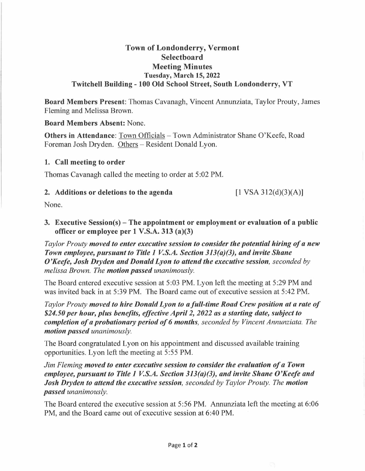# **Town of Londonderry, Vermont Selectboard Meeting Minutes Tuesday, March 15, 2022 Twitchell Building - 100 Old School Street, South Londonderry, VT**

**Board Members Present:** Thomas Cavanagh, Vincent Annunziata, Taylor Prouty, James Fleming and Melissa Brown.

**Board Members Absent:** None.

**Others in Attendance:** Town Officials – Town Administrator Shane O'Keefe, Road Foreman Josh Dryden. Others - Resident Donald Lyon.

## **1. Call meeting to order**

Thomas Cavanagh called the meeting to order at 5 :02 PM.

#### **2. Additions or deletions to the agenda**

 $[1 \text{ VSA } 312 \text{ (d)} \text{ (3)} \text{ (A)}]$ 

None.

**3. Executive Session(s) - The appointment or employment or evaluation of a public officer or employee per 1 V.S.A. 313 (a)(3)** 

*Taylor Prouty moved to enter executive session to consider the potential hiring of a new Town employee, pursuant to Title 1 V.S.A. Section 313(a)(3), and invite Shane O'Keefe, Josh Dryden and Donald Lyon to attend the executive session, seconded by melissa Brown. The motion passed unanimously.* 

The Board entered executive session at 5:03 PM. Lyon left the meeting at 5:29 PM and was invited back in at 5:39 PM. The Board came out of executive session at 5:42 PM.

*Taylor Prouty moved to hire Donald Lyon to a full-time Road Crew position at a rate of \$24.50 per hour, plus benefits, effective April 2, 2022 as a starting date, subject to completion of a probationary period of 6 months, seconded by Vincent Annunziata. The motion passed unanimously.* 

The Board congratulated Lyon on his appointment and discussed available training opportunities. Lyon left the meeting at 5:55 PM.

*Jim Fleming moved to enter executive session to consider the evaluation of a Town employee, pursuant to Title 1 V.S.A. Section 313(a)(3), and invite Shane O'Keefe and Josh Dryden to attend the executive session, seconded by Taylor Prouty. The motion passed unanimously.* 

The Board entered the executive session at 5:56 PM. Annunziata left the meeting at 6:06 PM, and the Board came out of executive session at 6:40 PM.